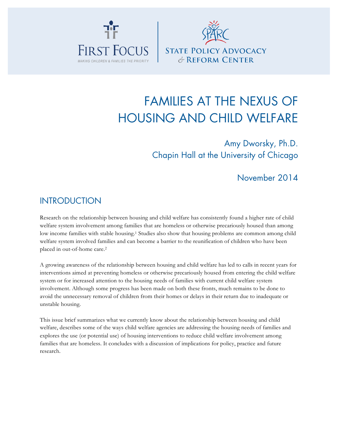



# FAMILIES AT THE NEXUS OF HOUSING AND CHILD WELFARE

# Amy Dworsky, Ph.D. Chapin Hall at the University of Chicago

## November 2014

### **INTRODUCTION**

Research on the relationship between housing and child welfare has consistently found a higher rate of child welfare system involvement among families that are homeless or otherwise precariously housed than among low income families with stable housing.1 Studies also show that housing problems are common among child welfare system involved families and can become a barrier to the reunification of children who have been placed in out-of-home care.2

A growing awareness of the relationship between housing and child welfare has led to calls in recent years for interventions aimed at preventing homeless or otherwise precariously housed from entering the child welfare system or for increased attention to the housing needs of families with current child welfare system involvement. Although some progress has been made on both these fronts, much remains to be done to avoid the unnecessary removal of children from their homes or delays in their return due to inadequate or unstable housing.

This issue brief summarizes what we currently know about the relationship between housing and child welfare, describes some of the ways child welfare agencies are addressing the housing needs of families and explores the use (or potential use) of housing interventions to reduce child welfare involvement among families that are homeless. It concludes with a discussion of implications for policy, practice and future research.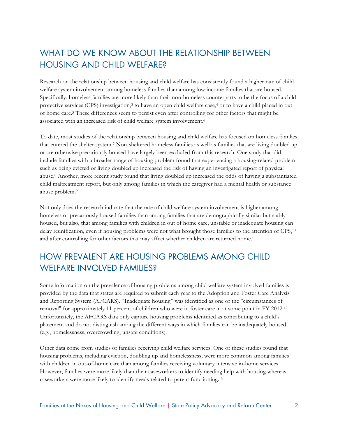# WHAT DO WE KNOW ABOUT THE RELATIONSHIP BETWEEN HOUSING AND CHILD WELFARE?

Research on the relationship between housing and child welfare has consistently found a higher rate of child welfare system involvement among homeless families than among low income families that are housed. Specifically, homeless families are more likely than their non-homeless counterparts to be the focus of a child protective services (CPS) investigation,3 to have an open child welfare case,4 or to have a child placed in out of home care.5 These differences seem to persist even after controlling for other factors that might be associated with an increased risk of child welfare system involvement.6

To date, most studies of the relationship between housing and child welfare has focused on homeless families that entered the shelter system.7 Non-sheltered homeless families as well as families that are living doubled up or are otherwise precariously housed have largely been excluded from this research. One study that did include families with a broader range of housing problem found that experiencing a housing-related problem such as being evicted or living doubled up increased the risk of having an investigated report of physical abuse.8 Another, more recent study found that living doubled up increased the odds of having a substantiated child maltreatment report, but only among families in which the caregiver had a mental health or substance abuse problem.9

Not only does the research indicate that the rate of child welfare system involvement is higher among homeless or precariously housed families than among families that are demographically similar but stably housed, but also, that among families with children in out of home care, unstable or inadequate housing can delay reunification, even if housing problems were not what brought those families to the attention of CPS,10 and after controlling for other factors that may affect whether children are returned home.<sup>11</sup>

### HOW PREVALENT ARE HOUSING PROBLEMS AMONG CHILD WELFARE INVOLVED FAMILIES?

Some information on the prevalence of housing problems among child welfare system involved families is provided by the data that states are required to submit each year to the Adoption and Foster Care Analysis and Reporting System (AFCARS). "Inadequate housing" was identified as one of the "circumstances of removal" for approximately 11 percent of children who were in foster care in at some point in FY 2012.12 Unfortunately, the AFCARS data only capture housing problems identified as contributing to a child's placement and do not distinguish among the different ways in which families can be inadequately housed (e.g., homelessness, overcrowding, unsafe conditions).

Other data come from studies of families receiving child welfare services. One of these studies found that housing problems, including eviction, doubling up and homelessness, were more common among families with children in out-of-home care than among families receiving voluntary intensive in-home services However, families were more likely than their caseworkers to identify needing help with housing whereas caseworkers were more likely to identify needs related to parent functioning.13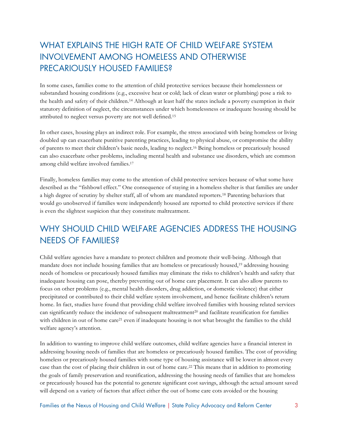# WHAT EXPLAINS THE HIGH RATE OF CHILD WELFARE SYSTEM INVOLVEMENT AMONG HOMELESS AND OTHERWISE PRECARIOUSLY HOUSED FAMILIES?

In some cases, families come to the attention of child protective services because their homelessness or substandard housing conditions (e.g., excessive heat or cold; lack of clean water or plumbing) pose a risk to the health and safety of their children.14 Although at least half the states include a poverty exemption in their statutory definition of neglect, the circumstances under which homelessness or inadequate housing should be attributed to neglect versus poverty are not well defined.15

In other cases, housing plays an indirect role. For example, the stress associated with being homeless or living doubled up can exacerbate punitive parenting practices, leading to physical abuse, or compromise the ability of parents to meet their children's basic needs, leading to neglect.16 Being homeless or precariously housed can also exacerbate other problems, including mental health and substance use disorders, which are common among child welfare involved families.17

Finally, homeless families may come to the attention of child protective services because of what some have described as the "fishbowl effect." One consequence of staying in a homeless shelter is that families are under a high degree of scrutiny by shelter staff, all of whom are mandated reporters.18 Parenting behaviors that would go unobserved if families were independently housed are reported to child protective services if there is even the slightest suspicion that they constitute maltreatment.

# WHY SHOULD CHILD WELFARE AGENCIES ADDRESS THE HOUSING NEEDS OF FAMILIES?

Child welfare agencies have a mandate to protect children and promote their well-being. Although that mandate does not include housing families that are homeless or precariously housed,19 addressing housing needs of homeless or precariously housed families may eliminate the risks to children's health and safety that inadequate housing can pose, thereby preventing out of home care placement. It can also allow parents to focus on other problems (e.g., mental health disorders, drug addiction, or domestic violence) that either precipitated or contributed to their child welfare system involvement, and hence facilitate children's return home. In fact, studies have found that providing child welfare involved families with housing related services can significantly reduce the incidence of subsequent maltreatment<sup>20</sup> and facilitate reunification for families with children in out of home care<sup>21</sup> even if inadequate housing is not what brought the families to the child welfare agency's attention.

In addition to wanting to improve child welfare outcomes, child welfare agencies have a financial interest in addressing housing needs of families that are homeless or precariously housed families. The cost of providing homeless or precariously housed families with some type of housing assistance will be lower in almost every case than the cost of placing their children in out of home care.22 This means that in addition to promoting the goals of family preservation and reunification, addressing the housing needs of families that are homeless or precariously housed has the potential to generate significant cost savings, although the actual amount saved will depend on a variety of factors that affect either the out of home care cots avoided or the housing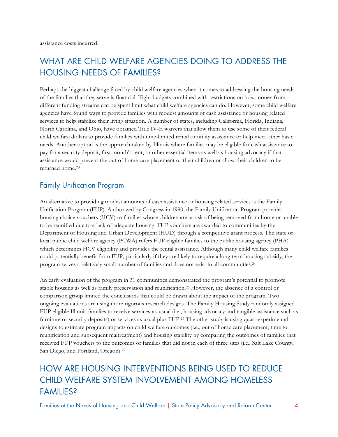# WHAT ARE CHILD WELFARE AGENCIES DOING TO ADDRESS THE HOUSING NEEDS OF FAMILIES?

Perhaps the biggest challenge faced by child welfare agencies when it comes to addressing the housing needs of the families that they serve is financial. Tight budgets combined with restrictions on how money from different funding streams can be spent limit what child welfare agencies can do. However, some child welfare agencies have found ways to provide families with modest amounts of cash assistance or housing related services to help stabilize their living situation. A number of states, including California, Florida, Indiana, North Carolina, and Ohio, have obtained Title IV-E waivers that allow them to use some of their federal child welfare dollars to provide families with time-limited rental or utility assistance or help meet other basic needs. Another option is the approach taken by Illinois where families may be eligible for cash assistance to pay for a security deposit, first month's rent, or other essential items as well as housing advocacy if that assistance would prevent the out of home care placement or their children or allow their children to be returned home.23

### Family Unification Program

An alternative to providing modest amounts of cash assistance or housing related services is the Family Unification Program (FUP). Authorized by Congress in 1990, the Family Unification Program provides housing choice vouchers (HCV) to families whose children are at risk of being removed from home or unable to be reunified due to a lack of adequate housing. FUP vouchers are awarded to communities by the Department of Housing and Urban Development (HUD) through a competitive grant process. The state or local public child welfare agency (PCWA) refers FUP-eligible families to the public housing agency (PHA) which determines HCV eligibility and provides the rental assistance. Although many child welfare families could potentially benefit from FUP, particularly if they are likely to require a long term housing subsidy, the program serves a relatively small number of families and does not exist in all communities.24

An early evaluation of the program in 31 communities demonstrated the program's potential to promote stable housing as well as family preservation and reunification.25 However, the absence of a control or comparison group limited the conclusions that could be drawn about the impact of the program. Two ongoing evaluations are using more rigorous research designs. The Family Housing Study randomly assigned FUP eligible Illinois families to receive services-as-usual (i.e., housing advocacy and tangible assistance such as furniture or security deposits) or services as usual plus FUP.26 The other study is using quasi-experimental designs to estimate program impacts on child welfare outcomes (i.e., out of home care placement, time to reunification and subsequent maltreatment) and housing stability by comparing the outcomes of families that received FUP vouchers to the outcomes of families that did not in each of three sites (i.e., Salt Lake County, San Diego, and Portland, Oregon).27

# HOW ARE HOUSING INTERVENTIONS BEING USED TO REDUCE CHILD WELFARE SYSTEM INVOLVEMENT AMONG HOMELESS **FAMILIES?**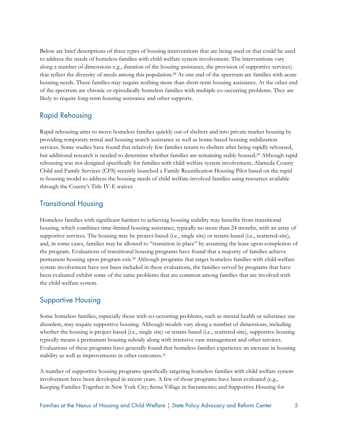Below are brief descriptions of three types of housing interventions that are being used or that could be used to address the needs of homeless families with child welfare system involvement. The interventions vary along a number of dimensions e.g., duration of the housing assistance, the provision of supportive services) that reflect the diversity of needs among this population.28 At one end of the spectrum are families with acute housing needs. These families may require nothing more than short-term housing assistance. At the other end of the spectrum are chronic or episodically homeless families with multiple co-occurring problems. They are likely to require long-term housing assistance and other supports.

#### Rapid Rehousing

Rapid rehousing aims to move homeless families quickly out of shelters and into private market housing by providing temporary rental and housing search assistance as well as home-based housing stabilization services. Some studies have found that relatively few families return to shelters after being rapidly rehoused, but additional research is needed to determine whether families are remaining stably housed.29 Although rapid rehousing was not designed specifically for families with child welfare system involvement, Alameda County Child and Family Services (CFS) recently launched a Family Reunification Housing Pilot based on the rapid re-housing model to address the housing needs of child welfare-involved families using resources available through the County's Title IV-E waiver.

### Transitional Housing

Homeless families with significant barriers to achieving housing stability may benefits from transitional housing, which combines time-limited housing assistance, typically no more than 24 months, with an array of supportive services. The housing may be project-based (i.e., single site) or tenant-based (i.e., scattered-site), and, in some cases, families may be allowed to "transition in place" by assuming the lease upon completion of the program. Evaluations of transitional housing programs have found that a majority of families achieve permanent housing upon program exit.30 Although programs that target homeless families with child welfare system involvement have not been included in these evaluations, the families served by programs that have been evaluated exhibit some of the same problems that are common among families that are involved with the child welfare system.

### Supportive Housing

Some homeless families, especially those with co-occurring problems, such as mental health or substance use disorders, may require supportive housing. Although models vary along a number of dimensions, including whether the housing is project-based (i.e., single site) or tenant-based (i.e., scattered-site), supportive housing typically means a permanent housing subsidy along with intensive case management and other services. Evaluations of these programs have generally found that homeless families experience an increase in housing stability as well as improvements in other outcomes.31

A number of supportive housing programs specifically targeting homeless families with child welfare system involvement have been developed in recent years. A few of those programs have been evaluated (e.g., Keeping Families Together in New York City; Serna Village in Sacramento; and Supportive Housing for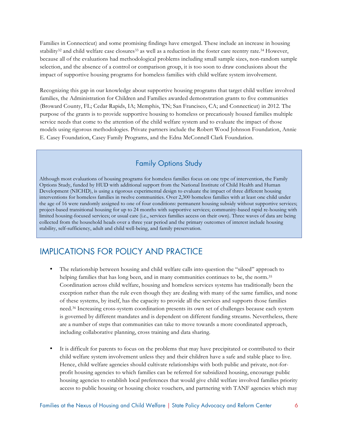Families in Connecticut) and some promising findings have emerged. These include an increase in housing stability<sup>32</sup> and child welfare case closures<sup>33</sup> as well as a reduction in the foster care reentry rate.<sup>34</sup> However, because all of the evaluations had methodological problems including small sample sizes, non-random sample selection, and the absence of a control or comparison group, it is too soon to draw conclusions about the impact of supportive housing programs for homeless families with child welfare system involvement.

Recognizing this gap in our knowledge about supportive housing programs that target child welfare involved families, the Administration for Children and Families awarded demonstration grants to five communities (Broward County, FL; Cedar Rapids, IA; Memphis, TN; San Francisco, CA; and Connecticut) in 2012. The purpose of the grants is to provide supportive housing to homeless or precariously housed families multiple service needs that come to the attention of the child welfare system and to evaluate the impact of those models using rigorous methodologies. Private partners include the Robert Wood Johnson Foundation, Annie E. Casey Foundation, Casey Family Programs, and the Edna McConnell Clark Foundation.

### Family Options Study

Although most evaluations of housing programs for homeless families focus on one type of intervention, the Family Options Study, funded by HUD with additional support from the National Institute of Child Health and Human Development (NICHD), is using a rigorous experimental design to evaluate the impact of three different housing interventions for homeless families in twelve communities. Over 2,300 homeless families with at least one child under the age of 16 were randomly assigned to one of four conditions: permanent housing subsidy without supportive services; project-based transitional housing for up to 24 months with supportive services; community-based rapid re-housing with limited housing-focused services; or usual care (i.e., services families access on their own). Three waves of data are being collected from the household heads over a three year period and the primary outcomes of interest include housing stability, self-sufficiency, adult and child well-being, and family preservation.

### IMPLICATIONS FOR POLICY AND PRACTICE

- The relationship between housing and child welfare calls into question the "siloed" approach to helping families that has long been, and in many communities continues to be, the norm.<sup>35</sup> Coordination across child welfare, housing and homeless services systems has traditionally been the exception rather than the rule even though they are dealing with many of the same families, and none of these systems, by itself, has the capacity to provide all the services and supports those families need.36 Increasing cross-system coordination presents its own set of challenges because each system is governed by different mandates and is dependent on different funding streams. Nevertheless, there are a number of steps that communities can take to move towards a more coordinated approach, including collaborative planning, cross training and data sharing.
- It is difficult for parents to focus on the problems that may have precipitated or contributed to their child welfare system involvement unless they and their children have a safe and stable place to live. Hence, child welfare agencies should cultivate relationships with both public and private, not-forprofit housing agencies to which families can be referred for subsidized housing, encourage public housing agencies to establish local preferences that would give child welfare involved families priority access to public housing or housing choice vouchers, and partnering with TANF agencies which may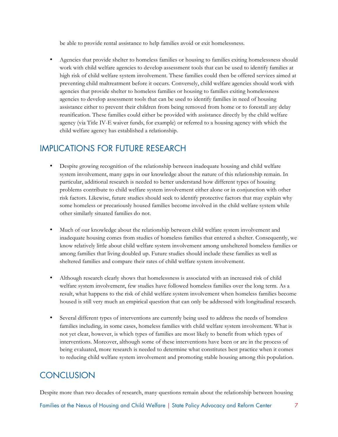be able to provide rental assistance to help families avoid or exit homelessness.

• Agencies that provide shelter to homeless families or housing to families exiting homelessness should work with child welfare agencies to develop assessment tools that can be used to identify families at high risk of child welfare system involvement. These families could then be offered services aimed at preventing child maltreatment before it occurs. Conversely, child welfare agencies should work with agencies that provide shelter to homeless families or housing to families exiting homelessness agencies to develop assessment tools that can be used to identify families in need of housing assistance either to prevent their children from being removed from home or to forestall any delay reunification. These families could either be provided with assistance directly by the child welfare agency (via Title IV-E waiver funds, for example) or referred to a housing agency with which the child welfare agency has established a relationship.

### IMPLICATIONS FOR FUTURE RESEARCH

- Despite growing recognition of the relationship between inadequate housing and child welfare system involvement, many gaps in our knowledge about the nature of this relationship remain. In particular, additional research is needed to better understand how different types of housing problems contribute to child welfare system involvement either alone or in conjunction with other risk factors. Likewise, future studies should seek to identify protective factors that may explain why some homeless or precariously housed families become involved in the child welfare system while other similarly situated families do not.
- Much of our knowledge about the relationship between child welfare system involvement and inadequate housing comes from studies of homeless families that entered a shelter. Consequently, we know relatively little about child welfare system involvement among unsheltered homeless families or among families that living doubled up. Future studies should include these families as well as sheltered families and compare their rates of child welfare system involvement.
- Although research clearly shows that homelessness is associated with an increased risk of child welfare system involvement, few studies have followed homeless families over the long term. As a result, what happens to the risk of child welfare system involvement when homeless families become housed is still very much an empirical question that can only be addressed with longitudinal research.
- Several different types of interventions are currently being used to address the needs of homeless families including, in some cases, homeless families with child welfare system involvement. What is not yet clear, however, is which types of families are most likely to benefit from which types of interventions. Moreover, although some of these interventions have been or are in the process of being evaluated, more research is needed to determine what constitutes best practice when it comes to reducing child welfare system involvement and promoting stable housing among this population.

## **CONCLUSION**

Despite more than two decades of research, many questions remain about the relationship between housing

Families at the Nexus of Housing and Child Welfare | State Policy Advocacy and Reform Center 7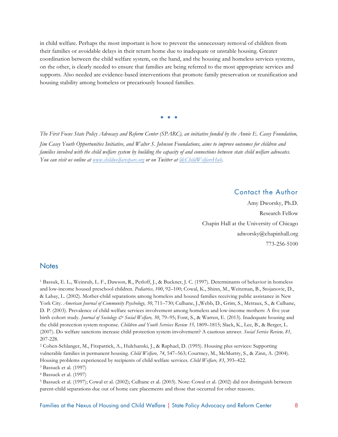in child welfare. Perhaps the most important is how to prevent the unnecessary removal of children from their families or avoidable delays in their return home due to inadequate or unstable housing. Greater coordination between the child welfare system, on the hand, and the housing and homeless services systems, on the other, is clearly needed to ensure that families are being referred to the most appropriate services and supports. Also needed are evidence-based interventions that promote family preservation or reunification and housing stability among homeless or precariously housed families.

**• • •**

*The First Focus State Policy Advocacy and Reform Center (SPARC), an initiative funded by the Annie E. Casey Foundation, Jim Casey Youth Opportunities Initiative, and Walter S. Johnson Foundations, aims to improve outcomes for children and families involved with the child welfare system by building the capacity of and connections between state child welfare advocates. You can visit us online at www.childwelfaresparc.org or on Twitter at @ChildWelfareHub.*

#### Contact the Author

Amy Dworsky, Ph.D. Research Fellow Chapin Hall at the University of Chicago adworsky@chapinhall.org 773-256-5100

#### **Notes**

<sup>1</sup> Bassuk, E. L., Weinrub, L. F., Dawson, R., Perloff, J., & Buckner, J. C. (1997). Determinants of behavior in homeless and low-income housed preschool children. *Pediatrics, 100*, 92–100; Cowal, K., Shinn, M., Weitzman, B., Stojanovic, D., & Labay, L. (2002). Mother-child separations among homeless and housed families receiving public assistance in New York City. *American Journal of Community Psychology, 30*, 711–730; Culhane, J.,Webb, D., Grim, S., Metraux, S., & Culhane, D. P. (2003). Prevalence of child welfare services involvement among homeless and low-income mothers: A five year birth cohort study. *Journal of Sociology & Social Welfare, 30*, 79–95; Font, S., & Warren, E. (2013). Inadequate housing and the child protection system response. *Children and Youth Services Review 35,* 1809–1815; Slack, K., Lee, B., & Berger, L. (2007). Do welfare sanctions increase child protection system involvement? A cautious answer. *Social Service Review, 81,* 207-228.

<sup>2</sup> Cohen-Schlanger, M., Fitzpatrick, A., Hulchanski, J., & Raphael, D. (1995). Housing plus services: Supporting vulnerable families in permanent housing. *Child Welfare, 74*, 547–563; Courtney, M., McMurtry, S., & Zinn, A. (2004). Housing problems experienced by recipients of child welfare services. *Child Welfare, 83*, 393–422.

<sup>3</sup> Bassuck et al. (1997)

<sup>4</sup> Bassuck et al. (1997)

<sup>5</sup> Bassuck et al. (1997); Cowal et al. (2002); Culhane et al. (2003). Note: Cowal et al. (2002) did not distinguish between parent-child separations due out of home care placements and those that occurred for other reasons.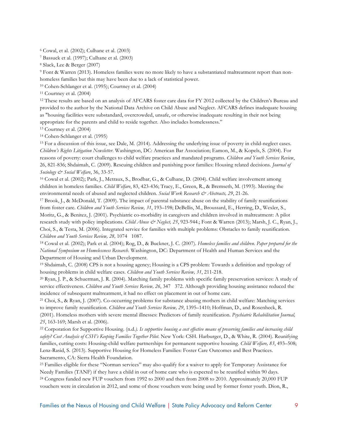<sup>6</sup> Cowal, et al. (2002); Culhane et al. (2003)

<sup>7</sup> Bassuck et al. (1997); Culhane et al. (2003)

<sup>8</sup> Slack, Lee & Berger (2007)

<sup>9</sup> Font & Warren (2013). Homeless families were no more likely to have a substantiated maltreatment report than nonhomeless families but this may have been due to a lack of statistical power.

<sup>10</sup> Cohen-Schlanger et al. (1995); Courtney et al. (2004)

<sup>11</sup> Courtney et al. (2004)

<sup>12</sup> These results are based on an analysis of AFCARS foster care data for FY 2012 collected by the Children's Bureau and provided to the author by the National Data Archive on Child Abuse and Neglect. AFCARS defines inadequate housing as "housing facilities were substandard, overcrowded, unsafe, or otherwise inadequate resulting in their not being appropriate for the parents and child to reside together. Also includes homelessness."

<sup>13</sup> Courtney et al. (2004)

<sup>14</sup> Cohen-Schlanger et al. (1995)

<sup>15</sup> For a discussion of this issue, see Dale, M. (2014). Addressing the underlying issue of poverty in child-neglect cases. *Children's Rights Litigation Newsletter*. Washington, DC: American Bar Association; Eamon, M., & Kopels, S. (2004). For reasons of poverty: court challenges to child welfare practices and mandated programs. *Children and Youth Services Review*, 26, 821-836; Shdaimah, C. (2009). Rescuing children and punishing poor families: Housing related decisions. *Journal of Sociology & Social Welfare*, 36, 33-57.

<sup>16</sup> Cowal et al. (2002); Park, J., Metraux, S., Brodbar, G., & Culhane, D. (2004). Child welfare involvement among children in homeless families. *Child Welfare*, 83, 423-436; Tracy, E., Green, R., & Bremseth, M. (1993). Meeting the environmental needs of abused and neglected children. *Social Work Research & Abstracts, 29*, 21-26.

<sup>17</sup> Brook, J., & McDonald, T. (2009). The impact of parental substance abuse on the stability of family reunifications from foster care. *Children and Youth Services Review, 31*, 193–198; DeBellis, M., Broussard, E., Herring, D., Wexler, S., Moritz, G., & Benitez, J. (2001). Psychiatric co-morbidity in caregivers and children involved in maltreatment: A pilot research study with policy implications. *Child Abuse*  $\mathcal{O}$  *Neglect, 25*, 923-944.; Font & Warren (2013); Marsh, J. C., Ryan, J., Choi, S., & Testa, M. (2006). Integrated service for families with multiple problems: Obstacles to family reunification. *Children and Youth Services Review, 28, 1074 1087.* 

<sup>18</sup> Cowal et al. (2002); Park et al. (2004); Rog, D., & Buckner, J. C. (2007). *Homeless families and children*. *Paper prepared for the National Symposium on Homelessness Research*. Washington, DC: Department of Health and Human Services and the Department of Housing and Urban Development.

<sup>19</sup> Shdaimah, C. (2008) CPS is not a housing agency; Housing is a CPS problem: Towards a definition and typology of housing problems in child welfare cases. *Children and Youth Services Review, 31*, 211-218.

<sup>20</sup> Ryan, J. P., & Schuerman, J. R. (2004). Matching family problems with specific family preservation services: A study of service effectiveness. *Children and Youth Services Review, 26*, 347 372. Although providing housing assistance reduced the incidence of subsequent maltreatment, it had no effect on placement in out of home care.

<sup>21</sup> Choi, S., & Ryan, J. (2007). Co-occurring problems for substance abusing mothers in child welfare: Matching services to improve family reunification. *Children and Youth Services Review, 29*, 1395–1410; Hoffman, D., and Rosenheck, R. (2001). Homeless mothers with severe mental illnesses: Predictors of family reunification. *Psychiatric Rehabilitation Journal, 25*, 163-169; Marsh et al. (2006).

<sup>22</sup> Corporation for Supportive Housing. (n.d.*). Is supportive housing a cost effective means of preserving families and increasing child safety? Cost Analysis of CSH's Keeping Families Together Pilot*. New York: CSH. Harburger, D., & White, R. (2004). Reunifying families, cutting costs: Housing-child welfare partnerships for permanent supportive housing. *Child Welfare, 83*, 493–508; Lenz-Rasid, S. (2013). Supportive Housing for Homeless Families: Foster Care Outcomes and Best Practices. Sacramento, CA: Sierra Health Foundation.

<sup>23</sup> Families eligible for these "Norman services" may also qualify for a waiver to apply for Temporary Assistance for Needy Families (TANF) if they have a child in out of home care who is expected to be reunified within 90 days. <sup>24</sup> Congress funded new FUP vouchers from 1992 to 2000 and then from 2008 to 2010. Approximately 20,000 FUP vouchers were in circulation in 2012, and some of those vouchers were being used by former foster youth. Dion, R.,